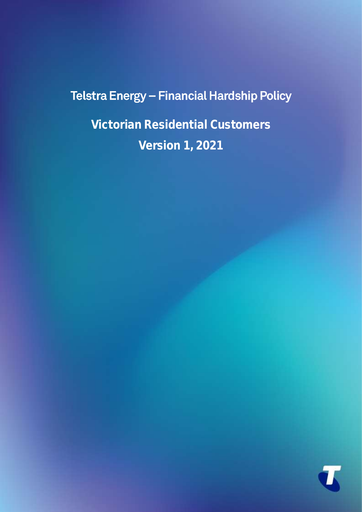# Telstra Energy - Financial Hardship Policy

**Victorian Residential Customers Version 1, 2021**

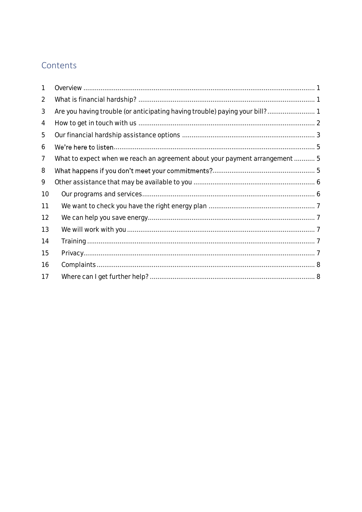### Contents

| 1              |                                                                             |  |
|----------------|-----------------------------------------------------------------------------|--|
| $\overline{2}$ |                                                                             |  |
| 3              |                                                                             |  |
| $\overline{4}$ |                                                                             |  |
| 5              |                                                                             |  |
| 6              |                                                                             |  |
| 7              | What to expect when we reach an agreement about your payment arrangement  5 |  |
| 8              |                                                                             |  |
| 9              |                                                                             |  |
| 10             |                                                                             |  |
| 11             |                                                                             |  |
| 12             |                                                                             |  |
| 13             |                                                                             |  |
| 14             |                                                                             |  |
| 15             |                                                                             |  |
| 16             |                                                                             |  |
| 17             |                                                                             |  |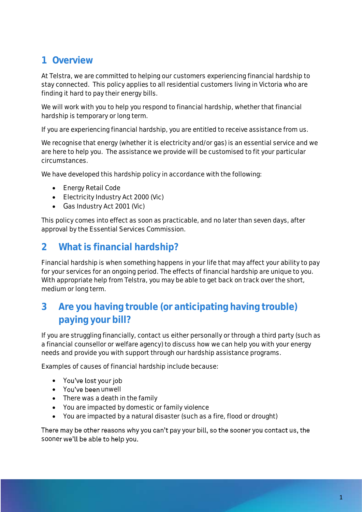### <span id="page-2-0"></span>**1 Overview**

At Telstra, we are committed to helping our customers experiencing financial hardship to stay connected. This policy applies to all residential customers living in Victoria who are finding it hard to pay their energy bills.

We will work with you to help you respond to financial hardship, whether that financial hardship is temporary or long term.

If you are experiencing financial hardship, you are entitled to receive assistance from us.

We recognise that energy (whether it is electricity and/or gas) is an essential service and we are here to help you. The assistance we provide will be customised to fit your particular circumstances.

We have developed this hardship policy in accordance with the following:

- Energy Retail Code
- Electricity Industry Act 2000 (Vic)
- Gas Industry Act 2001 (Vic)

This policy comes into effect as soon as practicable, and no later than seven days, after approval by the Essential Services Commission.

### <span id="page-2-1"></span>**2 What is financial hardship?**

Financial hardship is when something happens in your life that may affect your ability to pay for your services for an ongoing period. The effects of financial hardship are unique to you. With appropriate help from Telstra, you may be able to get back on track over the short, medium or long term.

### <span id="page-2-2"></span>**3 Are you having trouble (or anticipating having trouble) paying your bill?**

If you are struggling financially, contact us either personally or through a third party (such as a financial counsellor or welfare agency) to discuss how we can help you with your energy needs and provide you with support through our hardship assistance programs.

Examples of causes of financial hardship include because:

- You've lost your job
- You've been unwell
- There was a death in the family
- You are impacted by domestic or family violence
- You are impacted by a natural disaster (such as a fire, flood or drought)

There may be other reasons why you can't pay your bill, so the sooner you contact us, the sooner we'll be able to help you.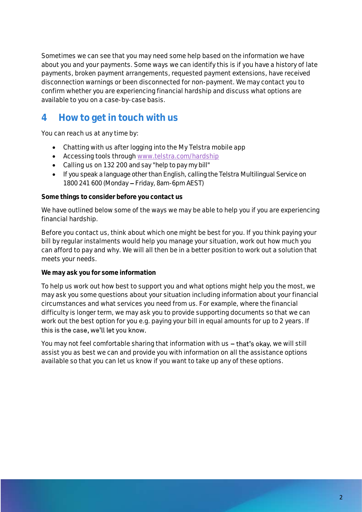Sometimes we can see that you may need some help based on the information we have about you and your payments. Some ways we can identify this is if you have a history of late payments, broken payment arrangements, requested payment extensions, have received disconnection warnings or been disconnected for non-payment. We may contact you to confirm whether you are experiencing financial hardship and discuss what options are available to you on a case-by-case basis.

### <span id="page-3-0"></span>**4 How to get in touch with us**

You can reach us at any time by:

- Chatting with us after logging into the My Telstra mobile app
- Accessing tools through [www.telstra.com/hardship](http://www.telstra.com/hardship)
- Calling us on 132 200 and say "help to pay my bill"
- If you speak a language other than English, calling the Telstra Multilingual Service on 1800 241 600 (Monday - Friday, 8am-6pm AEST)

**Some things to consider before you contact us**

We have outlined below some of the ways we may be able to help you if you are experiencing financial hardship.

Before you contact us, think about which one might be best for you. If you think paying your bill by regular instalments would help you manage your situation, work out how much you can afford to pay and why. We will all then be in a better position to work out a solution that meets your needs.

**We may ask you for some information**

To help us work out how best to support you and what options might help you the most, we may ask you some questions about your situation including information about your financial circumstances and what services you need from us. For example, where the financial difficulty is longer term, we may ask you to provide supporting documents so that we can work out the best option for you e.g. paying your bill in equal amounts for up to 2 years. If this is the case, we'll let you know.

You may not feel comfortable sharing that information with  $us - that's$  okay, we will still assist you as best we can and provide you with information on all the assistance options available so that you can let us know if you want to take up any of these options.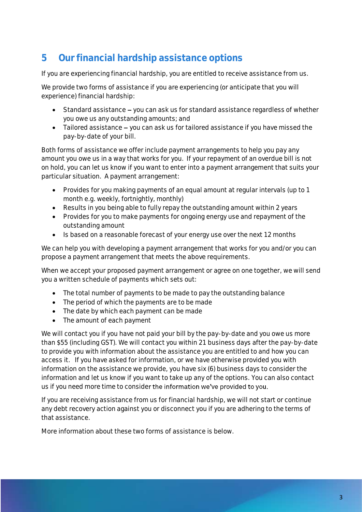### <span id="page-4-0"></span>**5 Our financial hardship assistance options**

If you are experiencing financial hardship, you are entitled to receive assistance from us.

We provide two forms of assistance if you are experiencing (or anticipate that you will experience) financial hardship:

- Standard assistance you can ask us for standard assistance regardless of whether you owe us any outstanding amounts; and
- Tailored assistance you can ask us for tailored assistance if you have missed the pay-by-date of your bill.

Both forms of assistance we offer include payment arrangements to help you pay any amount you owe us in a way that works for you. If your repayment of an overdue bill is not on hold, you can let us know if you want to enter into a payment arrangement that suits your particular situation. A payment arrangement:

- Provides for you making payments of an equal amount at regular intervals (up to 1 month e.g. weekly, fortnightly, monthly)
- Results in you being able to fully repay the outstanding amount within 2 years
- Provides for you to make payments for ongoing energy use and repayment of the outstanding amount
- Is based on a reasonable forecast of your energy use over the next 12 months

We can help you with developing a payment arrangement that works for you and/or you can propose a payment arrangement that meets the above requirements.

When we accept your proposed payment arrangement or agree on one together, we will send you a written schedule of payments which sets out:

- The total number of payments to be made to pay the outstanding balance
- The period of which the payments are to be made
- The date by which each payment can be made
- The amount of each payment

We will contact you if you have not paid your bill by the pay-by-date and you owe us more than \$55 (including GST). We will contact you within 21 business days after the pay-by-date to provide you with information about the assistance you are entitled to and how you can access it. If you have asked for information, or we have otherwise provided you with information on the assistance we provide, you have six (6) business days to consider the information and let us know if you want to take up any of the options. You can also contact us if you need more time to consider the information we've provided to you.

If you are receiving assistance from us for financial hardship, we will not start or continue any debt recovery action against you or disconnect you if you are adhering to the terms of that assistance.

More information about these two forms of assistance is below.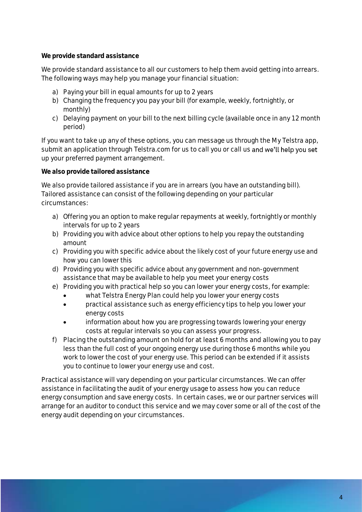**We provide standard assistance**

We provide standard assistance to all our customers to help them avoid getting into arrears. The following ways may help you manage your financial situation:

- a) Paying your bill in equal amounts for up to 2 years
- b) Changing the frequency you pay your bill (for example, weekly, fortnightly, or monthly)
- c) Delaying payment on your bill to the next billing cycle (available once in any 12 month period)

If you want to take up any of these options, you can message us through the My Telstra app, submit an application through Telstra.com for us to call you or call us and we'll help you set up your preferred payment arrangement.

**We also provide tailored assistance** 

We also provide tailored assistance if you are in arrears (you have an outstanding bill). Tailored assistance can consist of the following depending on your particular circumstances:

- a) Offering you an option to make regular repayments at weekly, fortnightly or monthly intervals for up to 2 years
- b) Providing you with advice about other options to help you repay the outstanding amount
- c) Providing you with specific advice about the likely cost of your future energy use and how you can lower this
- d) Providing you with specific advice about any government and non-government assistance that may be available to help you meet your energy costs
- e) Providing you with practical help so you can lower your energy costs, for example:
	- what Telstra Energy Plan could help you lower your energy costs
	- practical assistance such as energy efficiency tips to help you lower your energy costs
	- information about how you are progressing towards lowering your energy costs at regular intervals so you can assess your progress.
- f) Placing the outstanding amount on hold for at least 6 months and allowing you to pay less than the full cost of your ongoing energy use during those 6 months while you work to lower the cost of your energy use. This period can be extended if it assists you to continue to lower your energy use and cost.

Practical assistance will vary depending on your particular circumstances. We can offer assistance in facilitating the audit of your energy usage to assess how you can reduce energy consumption and save energy costs. In certain cases, we or our partner services will arrange for an auditor to conduct this service and we may cover some or all of the cost of the energy audit depending on your circumstances.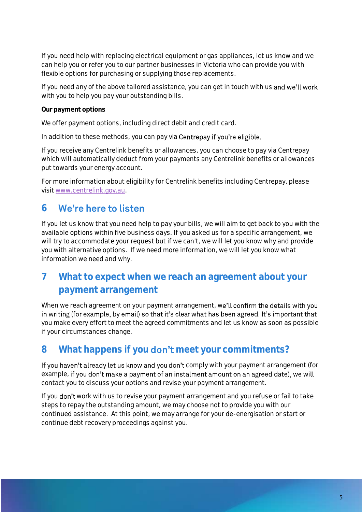If you need help with replacing electrical equipment or gas appliances, let us know and we can help you or refer you to our partner businesses in Victoria who can provide you with flexible options for purchasing or supplying those replacements.

If you need any of the above tailored assistance, you can get in touch with us and we'll work with you to help you pay your outstanding bills.

**Our payment options** 

We offer payment options, including direct debit and credit card.

In addition to these methods, you can pay via Centrepay if you're eligible.

If you receive any Centrelink benefits or allowances, you can choose to pay via Centrepay which will automatically deduct from your payments any Centrelink benefits or allowances put towards your energy account.

For more information about eligibility for Centrelink benefits including Centrepay, please visit [www.centrelink.gov.au.](http://www.centrelink.gov.au/)

#### <span id="page-6-0"></span>We're here to listen **6**

If you let us know that you need help to pay your bills, we will aim to get back to you with the available options within five business days. If you asked us for a specific arrangement, we will try to accommodate your request but if we can't, we will let you know why and provide you with alternative options. If we need more information, we will let you know what information we need and why.

### <span id="page-6-1"></span>**7 What to expect when we reach an agreement about your payment arrangement**

When we reach agreement on your payment arrangement, we'll confirm the details with you in writing (for example, by email) so that it's clear what has been agreed. It's important that you make every effort to meet the agreed commitments and let us know as soon as possible if your circumstances change.

### <span id="page-6-2"></span>8 What happens if you **don't** meet your commitments?

If you haven't already let us know and you don't comply with your payment arrangement (for example, if you don't make a payment of an instalment amount on an agreed date), we will contact you to discuss your options and revise your payment arrangement.

If you don't work with us to revise your payment arrangement and you refuse or fail to take steps to repay the outstanding amount, we may choose not to provide you with our continued assistance. At this point, we may arrange for your de-energisation or start or continue debt recovery proceedings against you.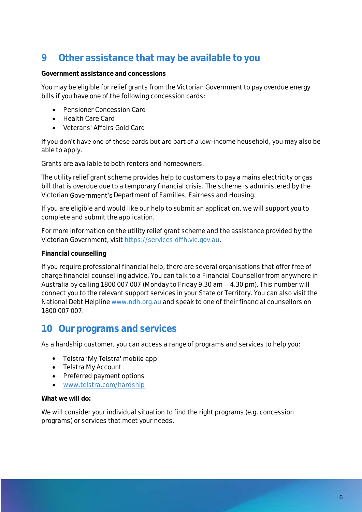### <span id="page-7-0"></span>**9 Other assistance that may be available to you**

**Government assistance and concessions**

You may be eligible for relief grants from the Victorian Government to pay overdue energy bills if you have one of the following concession cards:

- Pensioner Concession Card
- Health Care Card
- Veterans' Affairs Gold Card

If you don't have one of these cards but are part of a low-income household, you may also be able to apply.

Grants are available to both renters and homeowners.

The utility relief grant scheme provides help to customers to pay a mains electricity or gas bill that is overdue due to a temporary financial crisis. The scheme is administered by the Victorian Government's Department of Families, Fairness and Housing.

If you are eligible and would like our help to submit an application, we will support you to complete and submit the application.

For more information on the utility relief grant scheme and the assistance provided by the Victorian Government, visit https://services.dffh.vic.gov.au.

### **Financial counselling**

If you require professional financial help, there are several organisations that offer free of charge financial counselling advice. You can talk to a Financial Counsellor from anywhere in Australia by calling 1800 007 007 (Monday to Friday 9.30 am  $-$  4.30 pm). This number will connect you to the relevant support services in your State or Territory. You can also visit the National Debt Helplin[e www.ndh.org.au](http://www.ndh.org.au/) and speak to one of their financial counsellors on 1800 007 007.

### <span id="page-7-1"></span>**10 Our programs and services**

As a hardship customer, you can access a range of programs and services to help you:

- Telstra 'My Telstra' mobile app
- Telstra My Account
- Preferred payment options
- [www.telstra.com/hardship](http://www.telstra.com/hardship)

**What we will do:** 

We will consider your individual situation to find the right programs (e.g. concession programs) or services that meet your needs.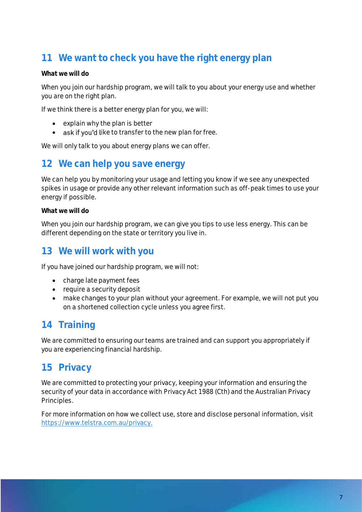## <span id="page-8-0"></span>**11 We want to check you have the right energy plan**

#### **What we will do**

When you join our hardship program, we will talk to you about your energy use and whether you are on the right plan.

If we think there is a better energy plan for you, we will:

- explain why the plan is better
- ask if you'd like to transfer to the new plan for free.

We will only talk to you about energy plans we can offer.

### <span id="page-8-1"></span>**12 We can help you save energy**

We can help you by monitoring your usage and letting you know if we see any unexpected spikes in usage or provide any other relevant information such as off-peak times to use your energy if possible.

**What we will do**

When you join our hardship program, we can give you tips to use less energy. This can be different depending on the state or territory you live in.

### <span id="page-8-2"></span>**13 We will work with you**

If you have joined our hardship program, we will not:

- charge late payment fees
- require a security deposit
- make changes to your plan without your agreement. For example, we will not put you on a shortened collection cycle unless you agree first.

### <span id="page-8-3"></span>**14 Training**

We are committed to ensuring our teams are trained and can support you appropriately if you are experiencing financial hardship.

### <span id="page-8-4"></span>**15 Privacy**

We are committed to protecting your privacy, keeping your information and ensuring the security of your data in accordance with *Privacy Act 1988* (Cth) and the Australian Privacy Principles.

For more information on how we collect use, store and disclose personal information, visit [https://www.telstra.com.au/privacy.](https://www.telstra.com.au/privacy/privacy-statement)